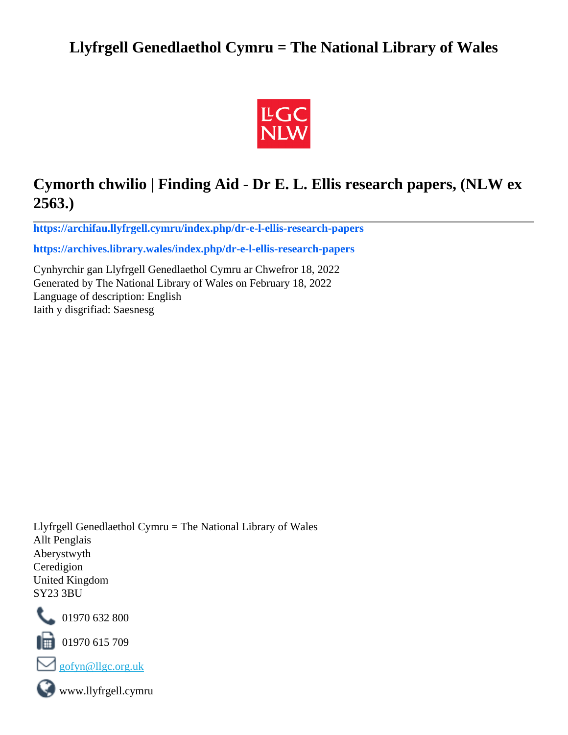## **Llyfrgell Genedlaethol Cymru = The National Library of Wales**



# **Cymorth chwilio | Finding Aid - Dr E. L. Ellis research papers, (NLW ex 2563.)**

**[https://archifau.llyfrgell.cymru/index.php/dr-e-l-ellis-research-papers](https://archifau.llyfrgell.cymru/index.php/dr-e-l-ellis-research-papers;isad?sf_culture=cy)**

**[https://archives.library.wales/index.php/dr-e-l-ellis-research-papers](https://archives.library.wales/index.php/dr-e-l-ellis-research-papers;isad?sf_culture=en)**

Cynhyrchir gan Llyfrgell Genedlaethol Cymru ar Chwefror 18, 2022 Generated by The National Library of Wales on February 18, 2022 Language of description: English Iaith y disgrifiad: Saesnesg

Llyfrgell Genedlaethol Cymru = The National Library of Wales Allt Penglais Aberystwyth Ceredigion United Kingdom SY23 3BU



101970 632 800

 $\blacksquare$  01970 615 709



www.llyfrgell.cymru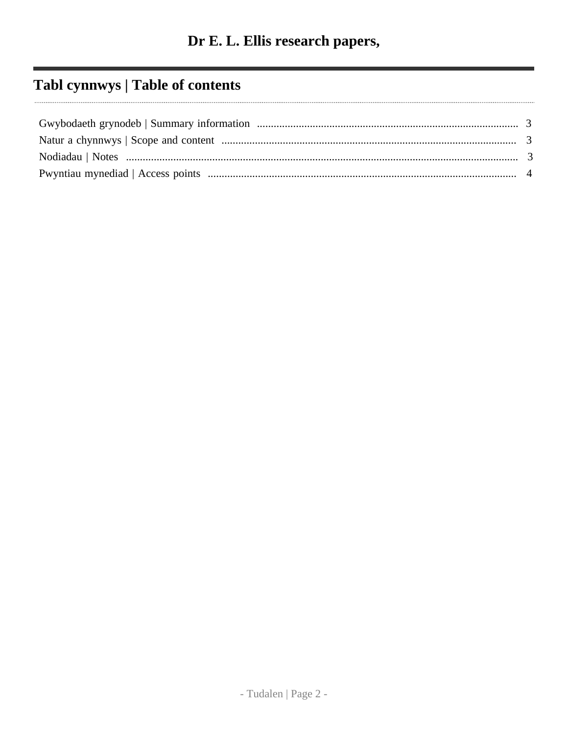# Tabl cynnwys | Table of contents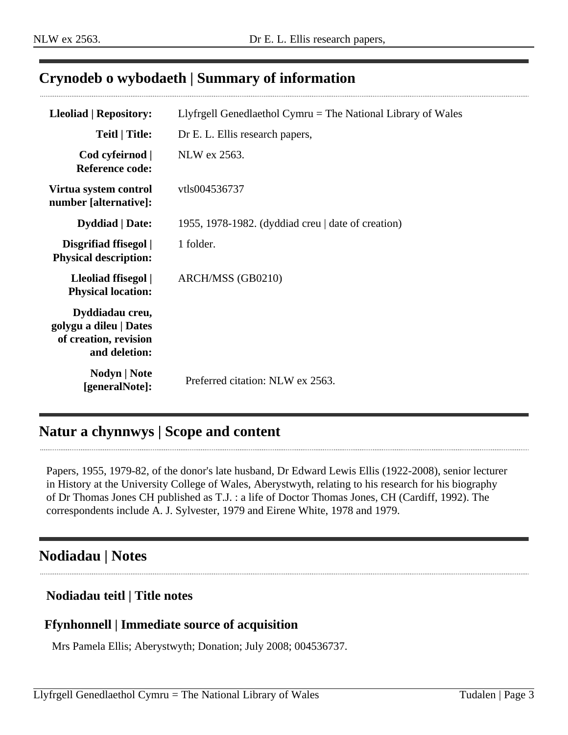### <span id="page-2-0"></span>**Crynodeb o wybodaeth | Summary of information**

| Lleoliad   Repository:                                                              | Llyfrgell Genedlaethol Cymru $=$ The National Library of Wales |
|-------------------------------------------------------------------------------------|----------------------------------------------------------------|
| <b>Teitl</b>   Title:                                                               | Dr E. L. Ellis research papers,                                |
| Cod cyfeirnod  <br><b>Reference code:</b>                                           | NLW ex 2563.                                                   |
| Virtua system control<br>number [alternative]:                                      | vtls004536737                                                  |
| <b>Dyddiad</b>   Date:                                                              | 1955, 1978-1982. (dyddiad creu   date of creation)             |
| Disgrifiad ffisegol  <br><b>Physical description:</b>                               | 1 folder.                                                      |
| Lleoliad ffisegol  <br><b>Physical location:</b>                                    | ARCH/MSS (GB0210)                                              |
| Dyddiadau creu,<br>golygu a dileu   Dates<br>of creation, revision<br>and deletion: |                                                                |
| <b>Nodyn</b>   <b>Note</b><br>[generalNote]:                                        | Preferred citation: NLW ex 2563.                               |

### <span id="page-2-1"></span>**Natur a chynnwys | Scope and content**

Papers, 1955, 1979-82, of the donor's late husband, Dr Edward Lewis Ellis (1922-2008), senior lecturer in History at the University College of Wales, Aberystwyth, relating to his research for his biography of Dr Thomas Jones CH published as T.J. : a life of Doctor Thomas Jones, CH (Cardiff, 1992). The correspondents include A. J. Sylvester, 1979 and Eirene White, 1978 and 1979.

### <span id="page-2-2"></span>**Nodiadau | Notes**

#### **Nodiadau teitl | Title notes**

#### **Ffynhonnell | Immediate source of acquisition**

Mrs Pamela Ellis; Aberystwyth; Donation; July 2008; 004536737.